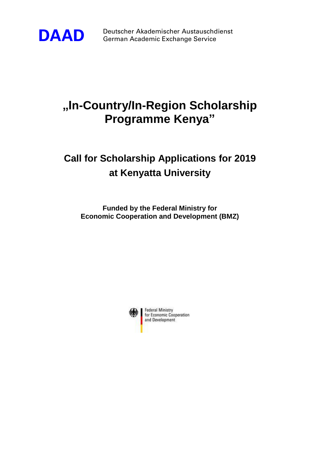

**DAAD** Deutscher Akademischer Austauschdienst<br>German Academic Exchange Service German Academic Exchange Service

# **"In-Country/In-Region Scholarship Programme Kenya"**

## **Call for Scholarship Applications for 2019 at Kenyatta University**

**Funded by the Federal Ministry for Economic Cooperation and Development (BMZ)**

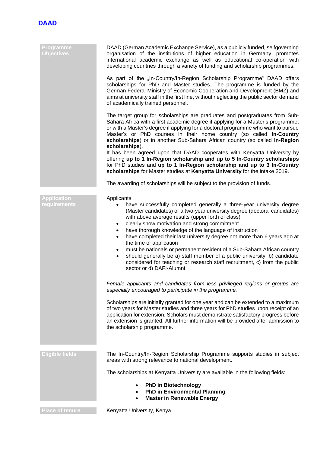

| Programme<br><b>Objectives</b>     | DAAD (German Academic Exchange Service), as a publicly funded, selfgoverning<br>organisation of the institutions of higher education in Germany, promotes<br>international academic exchange as well as educational co-operation with<br>developing countries through a variety of funding and scholarship programmes.                                                                                                                                                                                                                                                                                                                                                                                                                                  |
|------------------------------------|---------------------------------------------------------------------------------------------------------------------------------------------------------------------------------------------------------------------------------------------------------------------------------------------------------------------------------------------------------------------------------------------------------------------------------------------------------------------------------------------------------------------------------------------------------------------------------------------------------------------------------------------------------------------------------------------------------------------------------------------------------|
|                                    | As part of the "In-Country/In-Region Scholarship Programme" DAAD offers<br>scholarships for PhD and Master studies. The programme is funded by the<br>German Federal Ministry of Economic Cooperation and Development (BMZ) and<br>aims at university staff in the first line, without neglecting the public sector demand<br>of academically trained personnel.                                                                                                                                                                                                                                                                                                                                                                                        |
|                                    | The target group for scholarships are graduates and postgraduates from Sub-<br>Sahara Africa with a first academic degree if applying for a Master's programme,<br>or with a Master's degree if applying for a doctoral programme who want to pursue<br>Master's or PhD courses in their home country (so called In-Country<br>scholarships) or in another Sub-Sahara African country (so called In-Region<br>scholarships).                                                                                                                                                                                                                                                                                                                            |
|                                    | It has been agreed upon that DAAD cooperates with Kenyatta University by<br>offering up to 1 In-Region scholarship and up to 5 In-Country scholarships<br>for PhD studies and up to 1 In-Region scholarship and up to 3 In-Country<br>scholarships for Master studies at Kenyatta University for the intake 2019.                                                                                                                                                                                                                                                                                                                                                                                                                                       |
|                                    | The awarding of scholarships will be subject to the provision of funds.                                                                                                                                                                                                                                                                                                                                                                                                                                                                                                                                                                                                                                                                                 |
| <b>Application</b><br>requirements | Applicants<br>have successfully completed generally a three-year university degree<br>(Master candidates) or a two-year university degree (doctoral candidates)<br>with above average results (upper forth of class)<br>clearly show motivation and strong commitment<br>٠<br>have thorough knowledge of the language of instruction<br>$\bullet$<br>have completed their last university degree not more than 6 years ago at<br>$\bullet$<br>the time of application<br>must be nationals or permanent resident of a Sub-Sahara African country<br>٠<br>should generally be a) staff member of a public university, b) candidate<br>$\bullet$<br>considered for teaching or research staff recruitment, c) from the public<br>sector or d) DAFI-Alumni |
|                                    | Female applicants and candidates from less privileged regions or groups are<br>especially encouraged to participate in the programme.                                                                                                                                                                                                                                                                                                                                                                                                                                                                                                                                                                                                                   |
|                                    | Scholarships are initially granted for one year and can be extended to a maximum<br>of two years for Master studies and three years for PhD studies upon receipt of an<br>application for extension. Scholars must demonstrate satisfactory progress before<br>an extension is granted. All further information will be provided after admission to<br>the scholarship programme.                                                                                                                                                                                                                                                                                                                                                                       |
| <b>Eligible fields</b>             | The In-Country/In-Region Scholarship Programme supports studies in subject<br>areas with strong relevance to national development.                                                                                                                                                                                                                                                                                                                                                                                                                                                                                                                                                                                                                      |
|                                    | The scholarships at Kenyatta University are available in the following fields:                                                                                                                                                                                                                                                                                                                                                                                                                                                                                                                                                                                                                                                                          |
|                                    | <b>PhD in Biotechnology</b><br><b>PhD in Environmental Planning</b><br><b>Master in Renewable Energy</b>                                                                                                                                                                                                                                                                                                                                                                                                                                                                                                                                                                                                                                                |
| <b>Place of tenure</b>             | Kenyatta University, Kenya                                                                                                                                                                                                                                                                                                                                                                                                                                                                                                                                                                                                                                                                                                                              |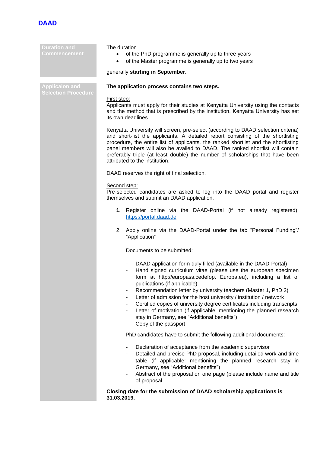

**Duration and Commencement**

### The duration

- of the PhD programme is generally up to three years
- of the Master programme is generally up to two years

#### generally **starting in September.**

**Applicaion and Selection Procedure**

### **The application process contains two steps.**

#### First step:

Applicants must apply for their studies at Kenyatta University using the contacts and the method that is prescribed by the institution. Kenyatta University has set its own deadlines.

Kenyatta University will screen, pre-select (according to DAAD selection criteria) and short-list the applicants. A detailed report consisting of the shortlisting procedure, the entire list of applicants, the ranked shortlist and the shortlisting panel members will also be availed to DAAD. The ranked shortlist will contain preferably triple (at least double) the number of scholarships that have been attributed to the institution.

DAAD reserves the right of final selection.

#### Second step:

Pre-selected candidates are asked to log into the DAAD portal and register themselves and submit an DAAD application.

- **1.** Register online via the DAAD-Portal (if not already registered): [https://portal.daad.de](https://portal.daad.de/)
- 2. Apply online via the DAAD-Portal under the tab "Personal Funding"/ "Application"

Documents to be submitted:

- DAAD application form duly filled (available in the DAAD-Portal)
- Hand signed curriculum vitae (please use the european specimen form at http://europass.cedefop. Europa.eu), including a list of publications (if applicable).
- Recommendation letter by university teachers (Master 1, PhD 2)
- Letter of admission for the host university / institution / network
- Certified copies of university degree certificates including transcripts
- Letter of motivation (if applicable: mentioning the planned research stay in Germany, see "Additional benefits")
- Copy of the passport

PhD candidates have to submit the following additional documents:

- Declaration of acceptance from the academic supervisor
- Detailed and precise PhD proposal, including detailed work and time table (if applicable: mentioning the planned research stay in Germany, see "Additional benefits")
- Abstract of the proposal on one page (please include name and title of proposal

**Closing date for the submission of DAAD scholarship applications is 31.03.2019.**